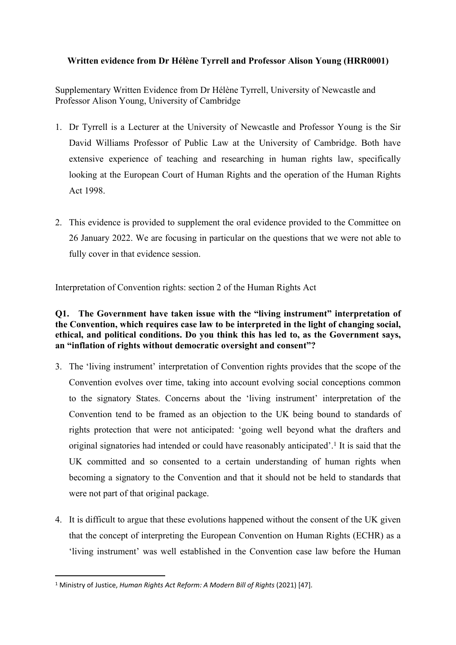# **Written evidence from Dr Hélène Tyrrell and Professor Alison Young (HRR0001)**

Supplementary Written Evidence from Dr Hélène Tyrrell, University of Newcastle and Professor Alison Young, University of Cambridge

- 1. Dr Tyrrell is a Lecturer at the University of Newcastle and Professor Young is the Sir David Williams Professor of Public Law at the University of Cambridge. Both have extensive experience of teaching and researching in human rights law, specifically looking at the European Court of Human Rights and the operation of the Human Rights Act 1998.
- 2. This evidence is provided to supplement the oral evidence provided to the Committee on 26 January 2022. We are focusing in particular on the questions that we were not able to fully cover in that evidence session.

Interpretation of Convention rights: section 2 of the Human Rights Act

# **Q1. The Government have taken issue with the "living instrument" interpretation of the Convention, which requires case law to be interpreted in the light of changing social, ethical, and political conditions. Do you think this has led to, as the Government says, an "inflation of rights without democratic oversight and consent"?**

- 3. The 'living instrument' interpretation of Convention rights provides that the scope of the Convention evolves over time, taking into account evolving social conceptions common to the signatory States. Concerns about the 'living instrument' interpretation of the Convention tend to be framed as an objection to the UK being bound to standards of rights protection that were not anticipated: 'going well beyond what the drafters and original signatories had intended or could have reasonably anticipated'.<sup>1</sup> It is said that the UK committed and so consented to a certain understanding of human rights when becoming a signatory to the Convention and that it should not be held to standards that were not part of that original package.
- 4. It is difficult to argue that these evolutions happened without the consent of the UK given that the concept of interpreting the European Convention on Human Rights (ECHR) as a 'living instrument' was well established in the Convention case law before the Human

<sup>1</sup> Ministry of Justice, *Human Rights Act Reform: A Modern Bill of Rights* (2021) [47].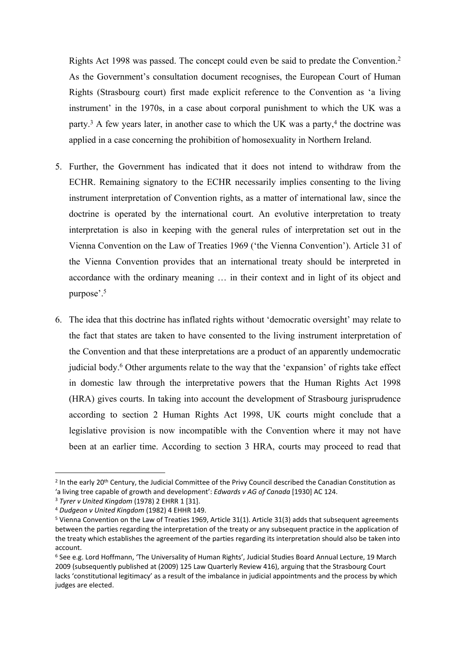Rights Act 1998 was passed. The concept could even be said to predate the Convention.<sup>2</sup> As the Government's consultation document recognises, the European Court of Human Rights (Strasbourg court) first made explicit reference to the Convention as 'a living instrument' in the 1970s, in a case about corporal punishment to which the UK was a party.<sup>3</sup> A few years later, in another case to which the UK was a party,<sup>4</sup> the doctrine was applied in a case concerning the prohibition of homosexuality in Northern Ireland.

- 5. Further, the Government has indicated that it does not intend to withdraw from the ECHR. Remaining signatory to the ECHR necessarily implies consenting to the living instrument interpretation of Convention rights, as a matter of international law, since the doctrine is operated by the international court. An evolutive interpretation to treaty interpretation is also in keeping with the general rules of interpretation set out in the Vienna Convention on the Law of Treaties 1969 ('the Vienna Convention'). Article 31 of the Vienna Convention provides that an international treaty should be interpreted in accordance with the ordinary meaning … in their context and in light of its object and purpose'.<sup>5</sup>
- 6. The idea that this doctrine has inflated rights without 'democratic oversight' may relate to the fact that states are taken to have consented to the living instrument interpretation of the Convention and that these interpretations are a product of an apparently undemocratic judicial body.<sup>6</sup> Other arguments relate to the way that the 'expansion' of rights take effect in domestic law through the interpretative powers that the Human Rights Act 1998 (HRA) gives courts. In taking into account the development of Strasbourg jurisprudence according to section 2 Human Rights Act 1998, UK courts might conclude that a legislative provision is now incompatible with the Convention where it may not have been at an earlier time. According to section 3 HRA, courts may proceed to read that

<sup>&</sup>lt;sup>2</sup> In the early 20<sup>th</sup> Century, the Judicial Committee of the Privy Council described the Canadian Constitution as 'a living tree capable of growth and development': *Edwards v AG of Canada* [1930] AC 124.

<sup>3</sup> *Tyrer v United Kingdom* (1978) 2 EHRR 1 [31].

<sup>4</sup> *Dudgeon v United Kingdom* (1982) 4 EHHR 149.

<sup>5</sup> Vienna Convention on the Law of Treaties 1969, Article 31(1). Article 31(3) adds that subsequent agreements between the parties regarding the interpretation of the treaty or any subsequent practice in the application of the treaty which establishes the agreement of the parties regarding its interpretation should also be taken into account.

<sup>6</sup> See e.g. Lord Hoffmann, 'The Universality of Human Rights', Judicial Studies Board Annual Lecture, 19 March 2009 (subsequently published at (2009) 125 Law Quarterly Review 416), arguing that the Strasbourg Court lacks 'constitutional legitimacy' as a result of the imbalance in judicial appointments and the process by which judges are elected.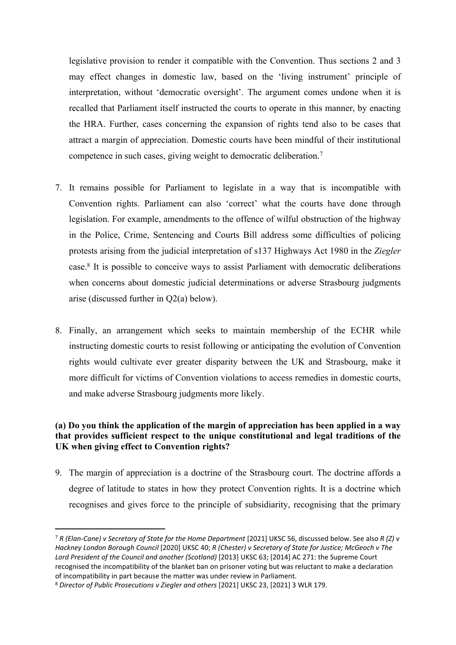legislative provision to render it compatible with the Convention. Thus sections 2 and 3 may effect changes in domestic law, based on the 'living instrument' principle of interpretation, without 'democratic oversight'. The argument comes undone when it is recalled that Parliament itself instructed the courts to operate in this manner, by enacting the HRA. Further, cases concerning the expansion of rights tend also to be cases that attract a margin of appreciation. Domestic courts have been mindful of their institutional competence in such cases, giving weight to democratic deliberation.<sup>7</sup>

- 7. It remains possible for Parliament to legislate in a way that is incompatible with Convention rights. Parliament can also 'correct' what the courts have done through legislation. For example, amendments to the offence of wilful obstruction of the highway in the Police, Crime, Sentencing and Courts Bill address some difficulties of policing protests arising from the judicial interpretation of s137 Highways Act 1980 in the *Ziegler* case.<sup>8</sup> It is possible to conceive ways to assist Parliament with democratic deliberations when concerns about domestic judicial determinations or adverse Strasbourg judgments arise (discussed further in Q2(a) below).
- 8. Finally, an arrangement which seeks to maintain membership of the ECHR while instructing domestic courts to resist following or anticipating the evolution of Convention rights would cultivate ever greater disparity between the UK and Strasbourg, make it more difficult for victims of Convention violations to access remedies in domestic courts, and make adverse Strasbourg judgments more likely.

# **(a) Do you think the application of the margin of appreciation has been applied in a way that provides sufficient respect to the unique constitutional and legal traditions of the UK when giving effect to Convention rights?**

9. The margin of appreciation is a doctrine of the Strasbourg court. The doctrine affords a degree of latitude to states in how they protect Convention rights. It is a doctrine which recognises and gives force to the principle of subsidiarity, recognising that the primary

<sup>7</sup> *R (Elan-Cane) v Secretary of State for the Home Department* [2021] UKSC 56, discussed below. See also *R (Z) v Hackney London Borough Council* [2020] UKSC 40; *R (Chester) v Secretary of State for Justice; McGeoch v The Lord President of the Council and another (Scotland)* [2013] UKSC 63; [2014] AC 271: the Supreme Court recognised the incompatibility of the blanket ban on prisoner voting but was reluctant to make a declaration of incompatibility in part because the matter was under review in Parliament.

<sup>8</sup> *Director of Public Prosecutions v Ziegler and others* [2021] UKSC 23, [2021] 3 WLR 179.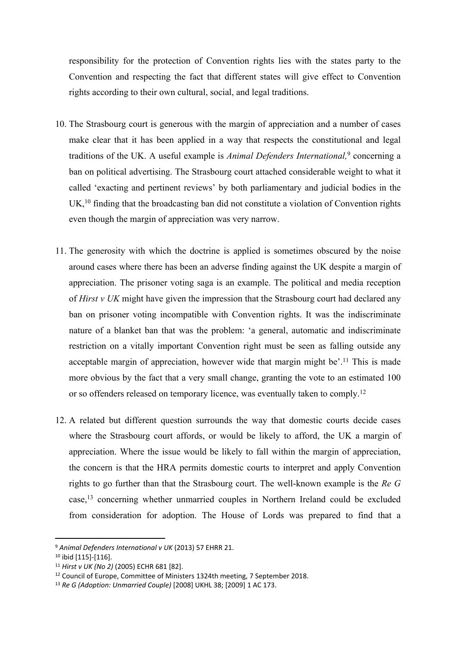responsibility for the protection of Convention rights lies with the states party to the Convention and respecting the fact that different states will give effect to Convention rights according to their own cultural, social, and legal traditions.

- 10. The Strasbourg court is generous with the margin of appreciation and a number of cases make clear that it has been applied in a way that respects the constitutional and legal traditions of the UK. A useful example is *Animal Defenders International,*<sup>9</sup> concerning a ban on political advertising. The Strasbourg court attached considerable weight to what it called 'exacting and pertinent reviews' by both parliamentary and judicial bodies in the UK,<sup>10</sup> finding that the broadcasting ban did not constitute a violation of Convention rights even though the margin of appreciation was very narrow.
- 11. The generosity with which the doctrine is applied is sometimes obscured by the noise around cases where there has been an adverse finding against the UK despite a margin of appreciation. The prisoner voting saga is an example. The political and media reception of *Hirst v UK* might have given the impression that the Strasbourg court had declared any ban on prisoner voting incompatible with Convention rights. It was the indiscriminate nature of a blanket ban that was the problem: 'a general, automatic and indiscriminate restriction on a vitally important Convention right must be seen as falling outside any acceptable margin of appreciation, however wide that margin might be'.<sup>11</sup> This is made more obvious by the fact that a very small change, granting the vote to an estimated 100 or so offenders released on temporary licence, was eventually taken to comply.<sup>12</sup>
- 12. A related but different question surrounds the way that domestic courts decide cases where the Strasbourg court affords, or would be likely to afford, the UK a margin of appreciation. Where the issue would be likely to fall within the margin of appreciation, the concern is that the HRA permits domestic courts to interpret and apply Convention rights to go further than that the Strasbourg court. The well-known example is the *Re G* case,<sup>13</sup> concerning whether unmarried couples in Northern Ireland could be excluded from consideration for adoption. The House of Lords was prepared to find that a

<sup>9</sup> *Animal Defenders International v UK* (2013) 57 EHRR 21.

<sup>10</sup> ibid [115]-[116].

<sup>11</sup> *Hirst v UK (No 2)* (2005) ECHR 681 [82].

<sup>12</sup> Council of Europe, Committee of Ministers 1324th meeting, 7 September 2018.

<sup>13</sup> *Re G (Adoption: Unmarried Couple)* [2008] UKHL 38; [2009] 1 AC 173.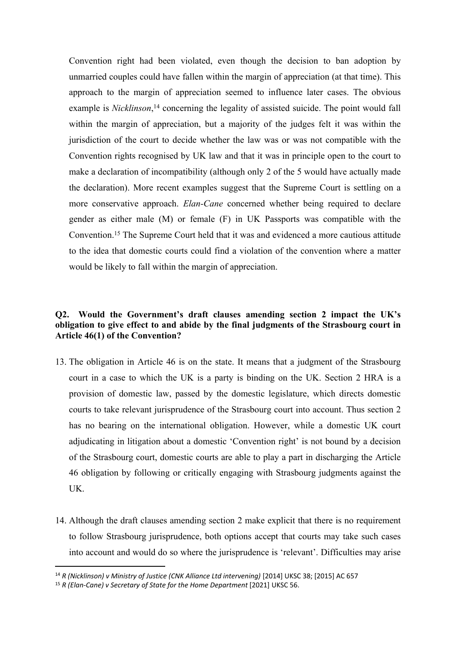Convention right had been violated, even though the decision to ban adoption by unmarried couples could have fallen within the margin of appreciation (at that time). This approach to the margin of appreciation seemed to influence later cases. The obvious example is *Nicklinson*,<sup>14</sup> concerning the legality of assisted suicide. The point would fall within the margin of appreciation, but a majority of the judges felt it was within the jurisdiction of the court to decide whether the law was or was not compatible with the Convention rights recognised by UK law and that it was in principle open to the court to make a declaration of incompatibility (although only 2 of the 5 would have actually made the declaration). More recent examples suggest that the Supreme Court is settling on a more conservative approach. *Elan-Cane* concerned whether being required to declare gender as either male (M) or female (F) in UK Passports was compatible with the Convention.<sup>15</sup> The Supreme Court held that it was and evidenced a more cautious attitude to the idea that domestic courts could find a violation of the convention where a matter would be likely to fall within the margin of appreciation.

# **Q2. Would the Government's draft clauses amending section 2 impact the UK's obligation to give effect to and abide by the final judgments of the Strasbourg court in Article 46(1) of the Convention?**

- 13. The obligation in Article 46 is on the state. It means that a judgment of the Strasbourg court in a case to which the UK is a party is binding on the UK. Section 2 HRA is a provision of domestic law, passed by the domestic legislature, which directs domestic courts to take relevant jurisprudence of the Strasbourg court into account. Thus section 2 has no bearing on the international obligation. However, while a domestic UK court adjudicating in litigation about a domestic 'Convention right' is not bound by a decision of the Strasbourg court, domestic courts are able to play a part in discharging the Article 46 obligation by following or critically engaging with Strasbourg judgments against the UK.
- 14. Although the draft clauses amending section 2 make explicit that there is no requirement to follow Strasbourg jurisprudence, both options accept that courts may take such cases into account and would do so where the jurisprudence is 'relevant'. Difficulties may arise

<sup>14</sup> *R (Nicklinson) v Ministry of Justice (CNK Alliance Ltd intervening)* [2014] UKSC 38; [2015] AC 657

<sup>15</sup> *R (Elan-Cane) v Secretary of State for the Home Department* [2021] UKSC 56.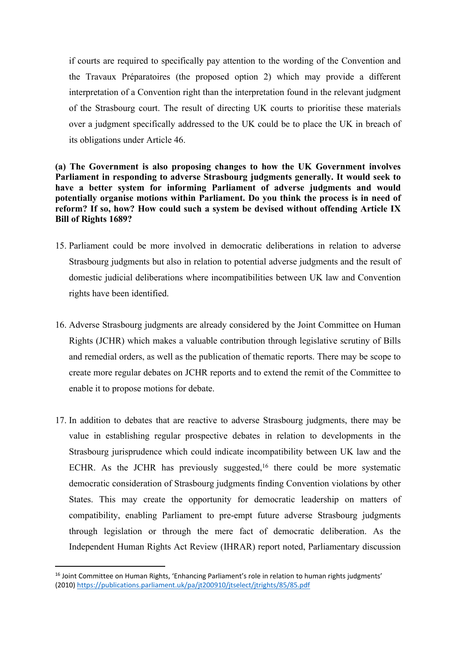if courts are required to specifically pay attention to the wording of the Convention and the Travaux Préparatoires (the proposed option 2) which may provide a different interpretation of a Convention right than the interpretation found in the relevant judgment of the Strasbourg court. The result of directing UK courts to prioritise these materials over a judgment specifically addressed to the UK could be to place the UK in breach of its obligations under Article 46.

# **(a) The Government is also proposing changes to how the UK Government involves Parliament in responding to adverse Strasbourg judgments generally. It would seek to have a better system for informing Parliament of adverse judgments and would potentially organise motions within Parliament. Do you think the process is in need of reform? If so, how? How could such a system be devised without offending Article IX Bill of Rights 1689?**

- 15. Parliament could be more involved in democratic deliberations in relation to adverse Strasbourg judgments but also in relation to potential adverse judgments and the result of domestic judicial deliberations where incompatibilities between UK law and Convention rights have been identified.
- 16. Adverse Strasbourg judgments are already considered by the Joint Committee on Human Rights (JCHR) which makes a valuable contribution through legislative scrutiny of Bills and remedial orders, as well as the publication of thematic reports. There may be scope to create more regular debates on JCHR reports and to extend the remit of the Committee to enable it to propose motions for debate.
- 17. In addition to debates that are reactive to adverse Strasbourg judgments, there may be value in establishing regular prospective debates in relation to developments in the Strasbourg jurisprudence which could indicate incompatibility between UK law and the ECHR. As the JCHR has previously suggested,<sup>16</sup> there could be more systematic democratic consideration of Strasbourg judgments finding Convention violations by other States. This may create the opportunity for democratic leadership on matters of compatibility, enabling Parliament to pre-empt future adverse Strasbourg judgments through legislation or through the mere fact of democratic deliberation. As the Independent Human Rights Act Review (IHRAR) report noted, Parliamentary discussion

<sup>&</sup>lt;sup>16</sup> Joint Committee on Human Rights, 'Enhancing Parliament's role in relation to human rights judgments' (2010) <https://publications.parliament.uk/pa/jt200910/jtselect/jtrights/85/85.pdf>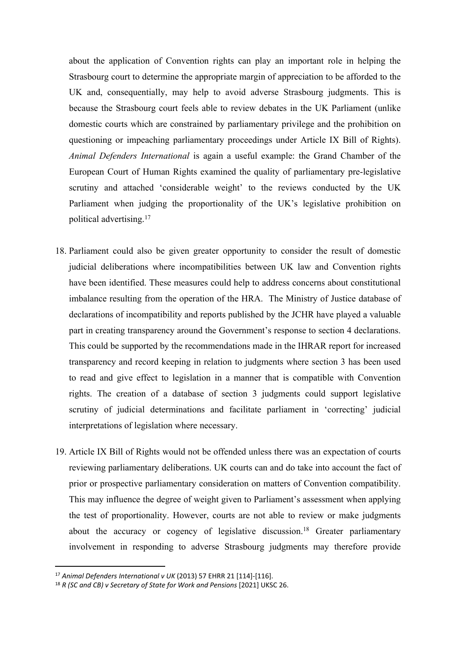about the application of Convention rights can play an important role in helping the Strasbourg court to determine the appropriate margin of appreciation to be afforded to the UK and, consequentially, may help to avoid adverse Strasbourg judgments. This is because the Strasbourg court feels able to review debates in the UK Parliament (unlike domestic courts which are constrained by parliamentary privilege and the prohibition on questioning or impeaching parliamentary proceedings under Article IX Bill of Rights). *Animal Defenders International* is again a useful example: the Grand Chamber of the European Court of Human Rights examined the quality of parliamentary pre-legislative scrutiny and attached 'considerable weight' to the reviews conducted by the UK Parliament when judging the proportionality of the UK's legislative prohibition on political advertising.<sup>17</sup>

- 18. Parliament could also be given greater opportunity to consider the result of domestic judicial deliberations where incompatibilities between UK law and Convention rights have been identified. These measures could help to address concerns about constitutional imbalance resulting from the operation of the HRA. The Ministry of Justice database of declarations of incompatibility and reports published by the JCHR have played a valuable part in creating transparency around the Government's response to section 4 declarations. This could be supported by the recommendations made in the IHRAR report for increased transparency and record keeping in relation to judgments where section 3 has been used to read and give effect to legislation in a manner that is compatible with Convention rights. The creation of a database of section 3 judgments could support legislative scrutiny of judicial determinations and facilitate parliament in 'correcting' judicial interpretations of legislation where necessary.
- 19. Article IX Bill of Rights would not be offended unless there was an expectation of courts reviewing parliamentary deliberations. UK courts can and do take into account the fact of prior or prospective parliamentary consideration on matters of Convention compatibility. This may influence the degree of weight given to Parliament's assessment when applying the test of proportionality. However, courts are not able to review or make judgments about the accuracy or cogency of legislative discussion.<sup>18</sup> Greater parliamentary involvement in responding to adverse Strasbourg judgments may therefore provide

<sup>17</sup> *Animal Defenders International v UK* (2013) 57 EHRR 21 [114]-[116].

<sup>18</sup> *R (SC and CB) v Secretary of State for Work and Pensions* [2021] UKSC 26.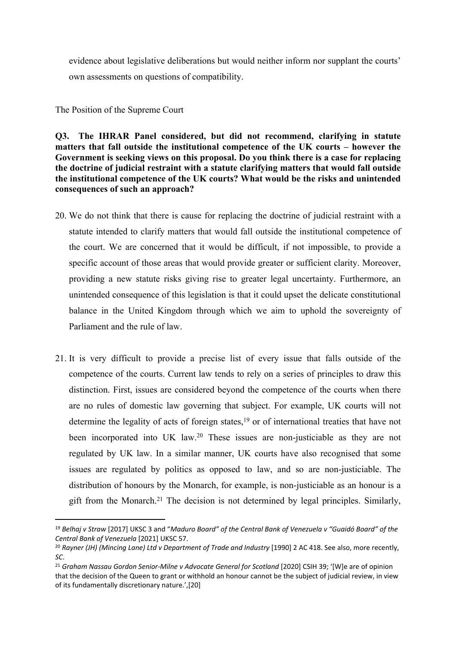evidence about legislative deliberations but would neither inform nor supplant the courts' own assessments on questions of compatibility.

The Position of the Supreme Court

**Q3. The IHRAR Panel considered, but did not recommend, clarifying in statute matters that fall outside the institutional competence of the UK courts – however the Government is seeking views on this proposal. Do you think there is a case for replacing the doctrine of judicial restraint with a statute clarifying matters that would fall outside the institutional competence of the UK courts? What would be the risks and unintended consequences of such an approach?**

- 20. We do not think that there is cause for replacing the doctrine of judicial restraint with a statute intended to clarify matters that would fall outside the institutional competence of the court. We are concerned that it would be difficult, if not impossible, to provide a specific account of those areas that would provide greater or sufficient clarity. Moreover, providing a new statute risks giving rise to greater legal uncertainty. Furthermore, an unintended consequence of this legislation is that it could upset the delicate constitutional balance in the United Kingdom through which we aim to uphold the sovereignty of Parliament and the rule of law.
- 21. It is very difficult to provide a precise list of every issue that falls outside of the competence of the courts. Current law tends to rely on a series of principles to draw this distinction. First, issues are considered beyond the competence of the courts when there are no rules of domestic law governing that subject. For example, UK courts will not determine the legality of acts of foreign states,<sup>19</sup> or of international treaties that have not been incorporated into UK law.<sup>20</sup> These issues are non-justiciable as they are not regulated by UK law. In a similar manner, UK courts have also recognised that some issues are regulated by politics as opposed to law, and so are non-justiciable. The distribution of honours by the Monarch, for example, is non-justiciable as an honour is a gift from the Monarch.<sup>21</sup> The decision is not determined by legal principles. Similarly,

<sup>19</sup> *Belhaj v Straw* [2017] UKSC 3 and "*Maduro Board" of the Central Bank of Venezuela v "Guaidó Board" of the Central Bank of Venezuela* [2021] UKSC 57.

<sup>20</sup> *Rayner (JH) (Mincing Lane) Ltd v Department of Trade and Industry* [1990] 2 AC 418. See also, more recently, *SC*.

<sup>21</sup> *Graham Nassau Gordon Senior-Milne v Advocate General for Scotland* [2020] CSIH 39; '[W]e are of opinion that the decision of the Queen to grant or withhold an honour cannot be the subject of judicial review, in view of its fundamentally discretionary nature.',[20]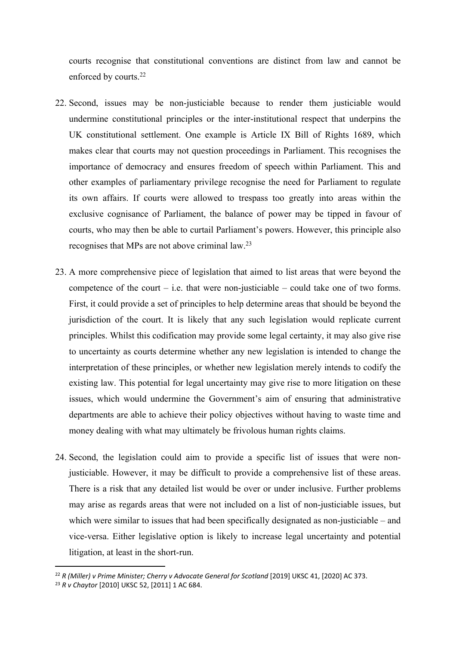courts recognise that constitutional conventions are distinct from law and cannot be enforced by courts.<sup>22</sup>

- 22. Second, issues may be non-justiciable because to render them justiciable would undermine constitutional principles or the inter-institutional respect that underpins the UK constitutional settlement. One example is Article IX Bill of Rights 1689, which makes clear that courts may not question proceedings in Parliament. This recognises the importance of democracy and ensures freedom of speech within Parliament. This and other examples of parliamentary privilege recognise the need for Parliament to regulate its own affairs. If courts were allowed to trespass too greatly into areas within the exclusive cognisance of Parliament, the balance of power may be tipped in favour of courts, who may then be able to curtail Parliament's powers. However, this principle also recognises that MPs are not above criminal law.<sup>23</sup>
- 23. A more comprehensive piece of legislation that aimed to list areas that were beyond the competence of the court  $-$  i.e. that were non-justiciable  $-$  could take one of two forms. First, it could provide a set of principles to help determine areas that should be beyond the jurisdiction of the court. It is likely that any such legislation would replicate current principles. Whilst this codification may provide some legal certainty, it may also give rise to uncertainty as courts determine whether any new legislation is intended to change the interpretation of these principles, or whether new legislation merely intends to codify the existing law. This potential for legal uncertainty may give rise to more litigation on these issues, which would undermine the Government's aim of ensuring that administrative departments are able to achieve their policy objectives without having to waste time and money dealing with what may ultimately be frivolous human rights claims.
- 24. Second, the legislation could aim to provide a specific list of issues that were nonjusticiable. However, it may be difficult to provide a comprehensive list of these areas. There is a risk that any detailed list would be over or under inclusive. Further problems may arise as regards areas that were not included on a list of non-justiciable issues, but which were similar to issues that had been specifically designated as non-justiciable – and vice-versa. Either legislative option is likely to increase legal uncertainty and potential litigation, at least in the short-run.

<sup>22</sup> *R (Miller) v Prime Minister; Cherry v Advocate General for Scotland* [2019] UKSC 41, [2020] AC 373.

<sup>23</sup> *R v Chaytor* [2010] UKSC 52, [2011] 1 AC 684.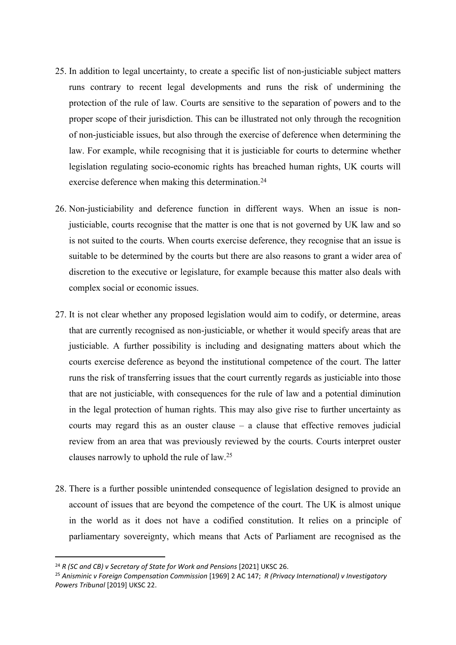- 25. In addition to legal uncertainty, to create a specific list of non-justiciable subject matters runs contrary to recent legal developments and runs the risk of undermining the protection of the rule of law. Courts are sensitive to the separation of powers and to the proper scope of their jurisdiction. This can be illustrated not only through the recognition of non-justiciable issues, but also through the exercise of deference when determining the law. For example, while recognising that it is justiciable for courts to determine whether legislation regulating socio-economic rights has breached human rights, UK courts will exercise deference when making this determination.<sup>24</sup>
- 26. Non-justiciability and deference function in different ways. When an issue is nonjusticiable, courts recognise that the matter is one that is not governed by UK law and so is not suited to the courts. When courts exercise deference, they recognise that an issue is suitable to be determined by the courts but there are also reasons to grant a wider area of discretion to the executive or legislature, for example because this matter also deals with complex social or economic issues.
- 27. It is not clear whether any proposed legislation would aim to codify, or determine, areas that are currently recognised as non-justiciable, or whether it would specify areas that are justiciable. A further possibility is including and designating matters about which the courts exercise deference as beyond the institutional competence of the court. The latter runs the risk of transferring issues that the court currently regards as justiciable into those that are not justiciable, with consequences for the rule of law and a potential diminution in the legal protection of human rights. This may also give rise to further uncertainty as courts may regard this as an ouster clause – a clause that effective removes judicial review from an area that was previously reviewed by the courts. Courts interpret ouster clauses narrowly to uphold the rule of law.<sup>25</sup>
- 28. There is a further possible unintended consequence of legislation designed to provide an account of issues that are beyond the competence of the court. The UK is almost unique in the world as it does not have a codified constitution. It relies on a principle of parliamentary sovereignty, which means that Acts of Parliament are recognised as the

<sup>24</sup> *R (SC and CB) v Secretary of State for Work and Pensions* [2021] UKSC 26.

<sup>25</sup> *Anisminic v Foreign Compensation Commission* [1969] 2 AC 147; *R (Privacy International) v Investigatory Powers Tribunal* [2019] UKSC 22.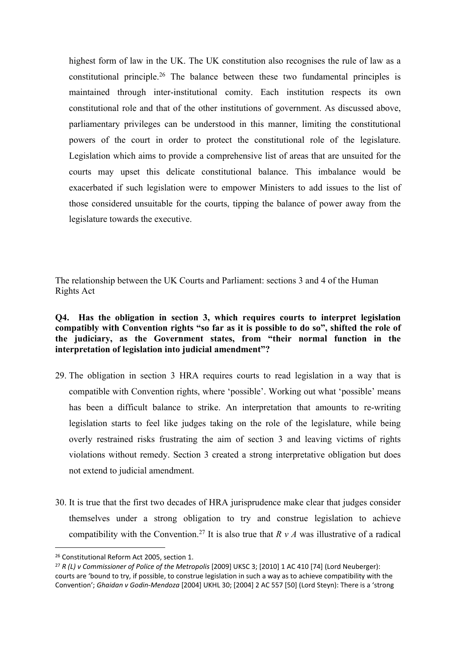highest form of law in the UK. The UK constitution also recognises the rule of law as a constitutional principle.<sup>26</sup> The balance between these two fundamental principles is maintained through inter-institutional comity. Each institution respects its own constitutional role and that of the other institutions of government. As discussed above, parliamentary privileges can be understood in this manner, limiting the constitutional powers of the court in order to protect the constitutional role of the legislature. Legislation which aims to provide a comprehensive list of areas that are unsuited for the courts may upset this delicate constitutional balance. This imbalance would be exacerbated if such legislation were to empower Ministers to add issues to the list of those considered unsuitable for the courts, tipping the balance of power away from the legislature towards the executive.

The relationship between the UK Courts and Parliament: sections 3 and 4 of the Human Rights Act

# **Q4. Has the obligation in section 3, which requires courts to interpret legislation compatibly with Convention rights "so far as it is possible to do so", shifted the role of the judiciary, as the Government states, from "their normal function in the interpretation of legislation into judicial amendment"?**

- 29. The obligation in section 3 HRA requires courts to read legislation in a way that is compatible with Convention rights, where 'possible'. Working out what 'possible' means has been a difficult balance to strike. An interpretation that amounts to re-writing legislation starts to feel like judges taking on the role of the legislature, while being overly restrained risks frustrating the aim of section 3 and leaving victims of rights violations without remedy. Section 3 created a strong interpretative obligation but does not extend to judicial amendment.
- 30. It is true that the first two decades of HRA jurisprudence make clear that judges consider themselves under a strong obligation to try and construe legislation to achieve compatibility with the Convention.<sup>27</sup> It is also true that  $R v A$  was illustrative of a radical

<sup>26</sup> Constitutional Reform Act 2005, section 1.

<sup>27</sup> *R (L) v Commissioner of Police of the Metropolis* [2009] UKSC 3; [2010] 1 AC 410 [74] (Lord Neuberger): courts are 'bound to try, if possible, to construe legislation in such a way as to achieve compatibility with the Convention'; *Ghaidan v Godin-Mendoza* [2004] UKHL 30; [2004] 2 AC 557 [50] (Lord Steyn): There is a 'strong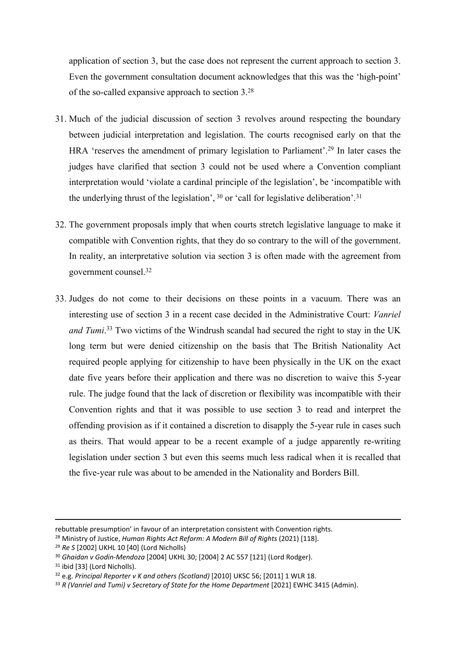application of section 3, but the case does not represent the current approach to section 3. Even the government consultation document acknowledges that this was the 'high-point' of the so-called expansive approach to section 3.<sup>28</sup>

- 31. Much of the judicial discussion of section 3 revolves around respecting the boundary between judicial interpretation and legislation. The courts recognised early on that the HRA 'reserves the amendment of primary legislation to Parliament'.<sup>29</sup> In later cases the judges have clarified that section 3 could not be used where a Convention compliant interpretation would 'violate a cardinal principle of the legislation', be 'incompatible with the underlying thrust of the legislation', <sup>30</sup> or 'call for legislative deliberation'.<sup>31</sup>
- 32. The government proposals imply that when courts stretch legislative language to make it compatible with Convention rights, that they do so contrary to the will of the government. In reality, an interpretative solution via section 3 is often made with the agreement from government counsel.<sup>32</sup>
- 33. Judges do not come to their decisions on these points in a vacuum. There was an interesting use of section 3 in a recent case decided in the Administrative Court: *Vanriel and Tumi*. <sup>33</sup> Two victims of the Windrush scandal had secured the right to stay in the UK long term but were denied citizenship on the basis that The British Nationality Act required people applying for citizenship to have been physically in the UK on the exact date five years before their application and there was no discretion to waive this 5-year rule. The judge found that the lack of discretion or flexibility was incompatible with their Convention rights and that it was possible to use section 3 to read and interpret the offending provision as if it contained a discretion to disapply the 5-year rule in cases such as theirs. That would appear to be a recent example of a judge apparently re-writing legislation under section 3 but even this seems much less radical when it is recalled that the five-year rule was about to be amended in the Nationality and Borders Bill.

rebuttable presumption' in favour of an interpretation consistent with Convention rights.

<sup>28</sup> Ministry of Justice, *Human Rights Act Reform: A Modern Bill of Rights* (2021) [118].

<sup>29</sup> *Re S* [2002] UKHL 10 [40] (Lord Nicholls)

<sup>30</sup> *Ghaidan v Godin-Mendoza* [2004] UKHL 30; [2004] 2 AC 557 [121] (Lord Rodger).

<sup>&</sup>lt;sup>31</sup> ibid [33] (Lord Nicholls).

<sup>32</sup> e.g. *Principal Reporter v K and others (Scotland)* [2010] UKSC 56; [2011] 1 WLR 18.

<sup>33</sup> *R (Vanriel and Tumi) v Secretary of State for the Home Department* [2021] EWHC 3415 (Admin).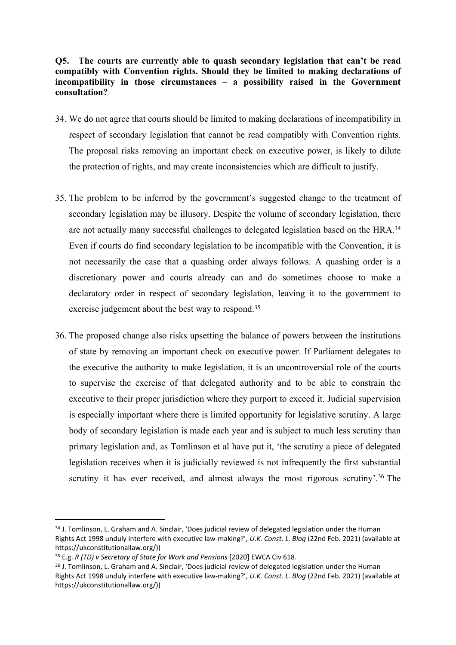# **Q5. The courts are currently able to quash secondary legislation that can't be read compatibly with Convention rights. Should they be limited to making declarations of incompatibility in those circumstances – a possibility raised in the Government consultation?**

- 34. We do not agree that courts should be limited to making declarations of incompatibility in respect of secondary legislation that cannot be read compatibly with Convention rights. The proposal risks removing an important check on executive power, is likely to dilute the protection of rights, and may create inconsistencies which are difficult to justify.
- 35. The problem to be inferred by the government's suggested change to the treatment of secondary legislation may be illusory. Despite the volume of secondary legislation, there are not actually many successful challenges to delegated legislation based on the HRA.<sup>34</sup> Even if courts do find secondary legislation to be incompatible with the Convention, it is not necessarily the case that a quashing order always follows. A quashing order is a discretionary power and courts already can and do sometimes choose to make a declaratory order in respect of secondary legislation, leaving it to the government to exercise judgement about the best way to respond.<sup>35</sup>
- 36. The proposed change also risks upsetting the balance of powers between the institutions of state by removing an important check on executive power. If Parliament delegates to the executive the authority to make legislation, it is an uncontroversial role of the courts to supervise the exercise of that delegated authority and to be able to constrain the executive to their proper jurisdiction where they purport to exceed it. Judicial supervision is especially important where there is limited opportunity for legislative scrutiny. A large body of secondary legislation is made each year and is subject to much less scrutiny than primary legislation and, as Tomlinson et al have put it, 'the scrutiny a piece of delegated legislation receives when it is judicially reviewed is not infrequently the first substantial scrutiny it has ever received, and almost always the most rigorous scrutiny'.<sup>36</sup> The

<sup>34</sup> J. Tomlinson, L. Graham and A. Sinclair, 'Does judicial review of delegated legislation under the Human Rights Act 1998 unduly interfere with executive law-making?', *U.K. Const. L. Blog* (22nd Feb. 2021) (available at https://ukconstitutionallaw.org/))

<sup>35</sup> E.g. *R (TD) v Secretary of State for Work and Pensions* [2020] EWCA Civ 618.

<sup>&</sup>lt;sup>36</sup> J. Tomlinson, L. Graham and A. Sinclair, 'Does judicial review of delegated legislation under the Human Rights Act 1998 unduly interfere with executive law-making?', *U.K. Const. L. Blog* (22nd Feb. 2021) (available at https://ukconstitutionallaw.org/))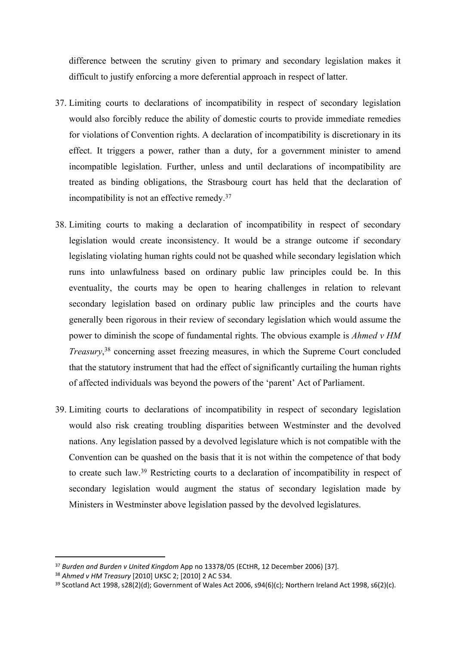difference between the scrutiny given to primary and secondary legislation makes it difficult to justify enforcing a more deferential approach in respect of latter.

- 37. Limiting courts to declarations of incompatibility in respect of secondary legislation would also forcibly reduce the ability of domestic courts to provide immediate remedies for violations of Convention rights. A declaration of incompatibility is discretionary in its effect. It triggers a power, rather than a duty, for a government minister to amend incompatible legislation. Further, unless and until declarations of incompatibility are treated as binding obligations, the Strasbourg court has held that the declaration of incompatibility is not an effective remedy.<sup>37</sup>
- 38. Limiting courts to making a declaration of incompatibility in respect of secondary legislation would create inconsistency. It would be a strange outcome if secondary legislating violating human rights could not be quashed while secondary legislation which runs into unlawfulness based on ordinary public law principles could be. In this eventuality, the courts may be open to hearing challenges in relation to relevant secondary legislation based on ordinary public law principles and the courts have generally been rigorous in their review of secondary legislation which would assume the power to diminish the scope of fundamental rights. The obvious example is *Ahmed v HM Treasury*, <sup>38</sup> concerning asset freezing measures, in which the Supreme Court concluded that the statutory instrument that had the effect of significantly curtailing the human rights of affected individuals was beyond the powers of the 'parent' Act of Parliament.
- 39. Limiting courts to declarations of incompatibility in respect of secondary legislation would also risk creating troubling disparities between Westminster and the devolved nations. Any legislation passed by a devolved legislature which is not compatible with the Convention can be quashed on the basis that it is not within the competence of that body to create such law.<sup>39</sup> Restricting courts to a declaration of incompatibility in respect of secondary legislation would augment the status of secondary legislation made by Ministers in Westminster above legislation passed by the devolved legislatures.

<sup>37</sup> *Burden and Burden v United Kingdom* App no 13378/05 (ECtHR, 12 December 2006) [37]*.*

<sup>38</sup> *Ahmed v HM Treasury* [2010] UKSC 2; [2010] 2 AC 534.

<sup>39</sup> Scotland Act 1998, s28(2)(d); Government of Wales Act 2006, s94(6)(c); Northern Ireland Act 1998, s6(2)(c).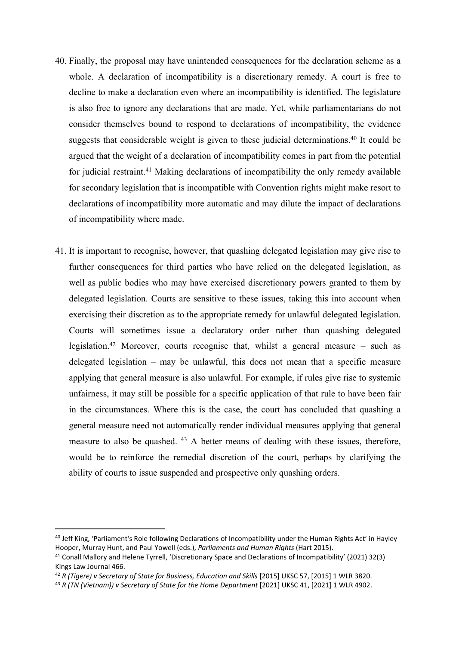- 40. Finally, the proposal may have unintended consequences for the declaration scheme as a whole. A declaration of incompatibility is a discretionary remedy. A court is free to decline to make a declaration even where an incompatibility is identified. The legislature is also free to ignore any declarations that are made. Yet, while parliamentarians do not consider themselves bound to respond to declarations of incompatibility, the evidence suggests that considerable weight is given to these judicial determinations.<sup>40</sup> It could be argued that the weight of a declaration of incompatibility comes in part from the potential for judicial restraint.<sup>41</sup> Making declarations of incompatibility the only remedy available for secondary legislation that is incompatible with Convention rights might make resort to declarations of incompatibility more automatic and may dilute the impact of declarations of incompatibility where made.
- 41. It is important to recognise, however, that quashing delegated legislation may give rise to further consequences for third parties who have relied on the delegated legislation, as well as public bodies who may have exercised discretionary powers granted to them by delegated legislation. Courts are sensitive to these issues, taking this into account when exercising their discretion as to the appropriate remedy for unlawful delegated legislation. Courts will sometimes issue a declaratory order rather than quashing delegated legislation.<sup>42</sup> Moreover, courts recognise that, whilst a general measure – such as delegated legislation – may be unlawful, this does not mean that a specific measure applying that general measure is also unlawful. For example, if rules give rise to systemic unfairness, it may still be possible for a specific application of that rule to have been fair in the circumstances. Where this is the case, the court has concluded that quashing a general measure need not automatically render individual measures applying that general measure to also be quashed. <sup>43</sup> A better means of dealing with these issues, therefore, would be to reinforce the remedial discretion of the court, perhaps by clarifying the ability of courts to issue suspended and prospective only quashing orders.

<sup>&</sup>lt;sup>40</sup> Jeff King, 'Parliament's Role following Declarations of Incompatibility under the Human Rights Act' in Hayley Hooper, Murray Hunt, and Paul Yowell (eds.), *Parliaments and Human Rights* (Hart 2015).

<sup>41</sup> Conall Mallory and Helene Tyrrell, 'Discretionary Space and Declarations of Incompatibility' (2021) 32(3) Kings Law Journal 466.

<sup>42</sup> *R (Tigere) v Secretary of State for Business, Education and Skills* [2015] UKSC 57, [2015] 1 WLR 3820.

<sup>43</sup> *R (TN (Vietnam)) v Secretary of State for the Home Department* [2021] UKSC 41, [2021] 1 WLR 4902.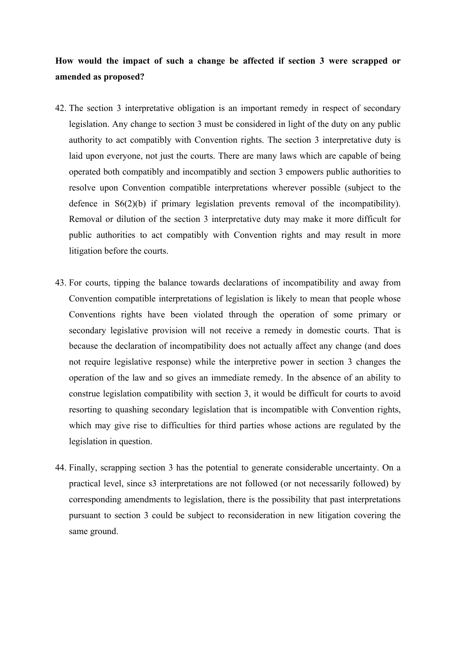# **How would the impact of such a change be affected if section 3 were scrapped or amended as proposed?**

- 42. The section 3 interpretative obligation is an important remedy in respect of secondary legislation. Any change to section 3 must be considered in light of the duty on any public authority to act compatibly with Convention rights. The section 3 interpretative duty is laid upon everyone, not just the courts. There are many laws which are capable of being operated both compatibly and incompatibly and section 3 empowers public authorities to resolve upon Convention compatible interpretations wherever possible (subject to the defence in S6(2)(b) if primary legislation prevents removal of the incompatibility). Removal or dilution of the section 3 interpretative duty may make it more difficult for public authorities to act compatibly with Convention rights and may result in more litigation before the courts.
- 43. For courts, tipping the balance towards declarations of incompatibility and away from Convention compatible interpretations of legislation is likely to mean that people whose Conventions rights have been violated through the operation of some primary or secondary legislative provision will not receive a remedy in domestic courts. That is because the declaration of incompatibility does not actually affect any change (and does not require legislative response) while the interpretive power in section 3 changes the operation of the law and so gives an immediate remedy. In the absence of an ability to construe legislation compatibility with section 3, it would be difficult for courts to avoid resorting to quashing secondary legislation that is incompatible with Convention rights, which may give rise to difficulties for third parties whose actions are regulated by the legislation in question.
- 44. Finally, scrapping section 3 has the potential to generate considerable uncertainty. On a practical level, since s3 interpretations are not followed (or not necessarily followed) by corresponding amendments to legislation, there is the possibility that past interpretations pursuant to section 3 could be subject to reconsideration in new litigation covering the same ground.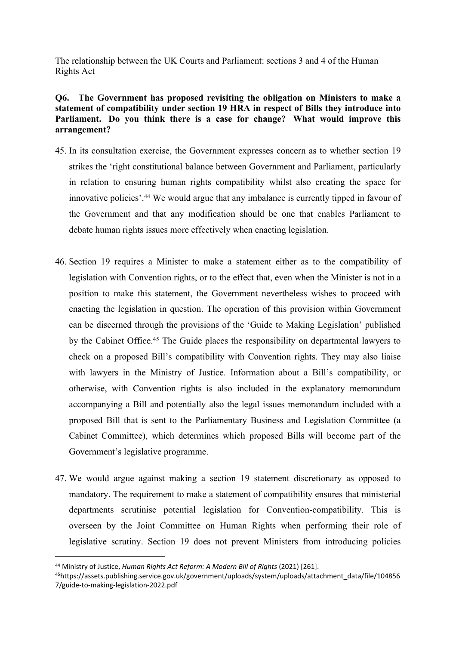The relationship between the UK Courts and Parliament: sections 3 and 4 of the Human Rights Act

# **Q6. The Government has proposed revisiting the obligation on Ministers to make a statement of compatibility under section 19 HRA in respect of Bills they introduce into Parliament. Do you think there is a case for change? What would improve this arrangement?**

- 45. In its consultation exercise, the Government expresses concern as to whether section 19 strikes the 'right constitutional balance between Government and Parliament, particularly in relation to ensuring human rights compatibility whilst also creating the space for innovative policies'.<sup>44</sup> We would argue that any imbalance is currently tipped in favour of the Government and that any modification should be one that enables Parliament to debate human rights issues more effectively when enacting legislation.
- 46. Section 19 requires a Minister to make a statement either as to the compatibility of legislation with Convention rights, or to the effect that, even when the Minister is not in a position to make this statement, the Government nevertheless wishes to proceed with enacting the legislation in question. The operation of this provision within Government can be discerned through the provisions of the 'Guide to Making Legislation' published by the Cabinet Office.<sup>45</sup> The Guide places the responsibility on departmental lawyers to check on a proposed Bill's compatibility with Convention rights. They may also liaise with lawyers in the Ministry of Justice. Information about a Bill's compatibility, or otherwise, with Convention rights is also included in the explanatory memorandum accompanying a Bill and potentially also the legal issues memorandum included with a proposed Bill that is sent to the Parliamentary Business and Legislation Committee (a Cabinet Committee), which determines which proposed Bills will become part of the Government's legislative programme.
- 47. We would argue against making a section 19 statement discretionary as opposed to mandatory. The requirement to make a statement of compatibility ensures that ministerial departments scrutinise potential legislation for Convention-compatibility. This is overseen by the Joint Committee on Human Rights when performing their role of legislative scrutiny. Section 19 does not prevent Ministers from introducing policies

<sup>44</sup> Ministry of Justice, *Human Rights Act Reform: A Modern Bill of Rights* (2021) [261].

<sup>45</sup>https://assets.publishing.service.gov.uk/government/uploads/system/uploads/attachment\_data/file/104856 7/guide-to-making-legislation-2022.pdf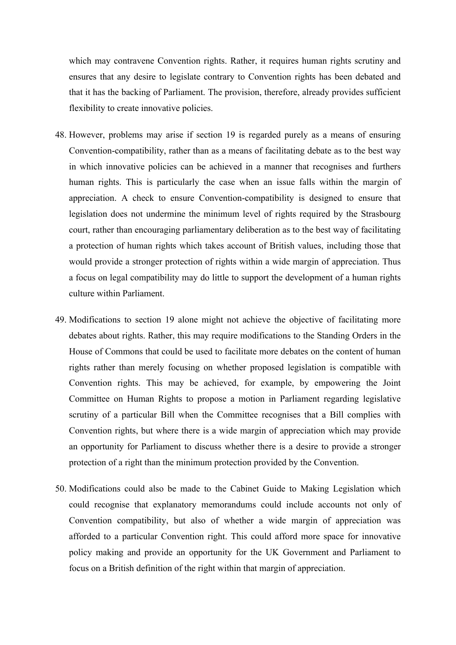which may contravene Convention rights. Rather, it requires human rights scrutiny and ensures that any desire to legislate contrary to Convention rights has been debated and that it has the backing of Parliament. The provision, therefore, already provides sufficient flexibility to create innovative policies.

- 48. However, problems may arise if section 19 is regarded purely as a means of ensuring Convention-compatibility, rather than as a means of facilitating debate as to the best way in which innovative policies can be achieved in a manner that recognises and furthers human rights. This is particularly the case when an issue falls within the margin of appreciation. A check to ensure Convention-compatibility is designed to ensure that legislation does not undermine the minimum level of rights required by the Strasbourg court, rather than encouraging parliamentary deliberation as to the best way of facilitating a protection of human rights which takes account of British values, including those that would provide a stronger protection of rights within a wide margin of appreciation. Thus a focus on legal compatibility may do little to support the development of a human rights culture within Parliament.
- 49. Modifications to section 19 alone might not achieve the objective of facilitating more debates about rights. Rather, this may require modifications to the Standing Orders in the House of Commons that could be used to facilitate more debates on the content of human rights rather than merely focusing on whether proposed legislation is compatible with Convention rights. This may be achieved, for example, by empowering the Joint Committee on Human Rights to propose a motion in Parliament regarding legislative scrutiny of a particular Bill when the Committee recognises that a Bill complies with Convention rights, but where there is a wide margin of appreciation which may provide an opportunity for Parliament to discuss whether there is a desire to provide a stronger protection of a right than the minimum protection provided by the Convention.
- 50. Modifications could also be made to the Cabinet Guide to Making Legislation which could recognise that explanatory memorandums could include accounts not only of Convention compatibility, but also of whether a wide margin of appreciation was afforded to a particular Convention right. This could afford more space for innovative policy making and provide an opportunity for the UK Government and Parliament to focus on a British definition of the right within that margin of appreciation.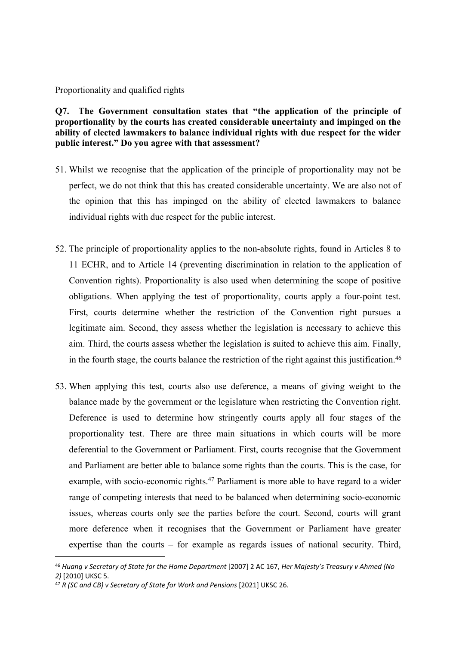#### Proportionality and qualified rights

**Q7. The Government consultation states that "the application of the principle of proportionality by the courts has created considerable uncertainty and impinged on the ability of elected lawmakers to balance individual rights with due respect for the wider public interest." Do you agree with that assessment?**

- 51. Whilst we recognise that the application of the principle of proportionality may not be perfect, we do not think that this has created considerable uncertainty. We are also not of the opinion that this has impinged on the ability of elected lawmakers to balance individual rights with due respect for the public interest.
- 52. The principle of proportionality applies to the non-absolute rights, found in Articles 8 to 11 ECHR, and to Article 14 (preventing discrimination in relation to the application of Convention rights). Proportionality is also used when determining the scope of positive obligations. When applying the test of proportionality, courts apply a four-point test. First, courts determine whether the restriction of the Convention right pursues a legitimate aim. Second, they assess whether the legislation is necessary to achieve this aim. Third, the courts assess whether the legislation is suited to achieve this aim. Finally, in the fourth stage, the courts balance the restriction of the right against this justification.<sup>46</sup>
- 53. When applying this test, courts also use deference, a means of giving weight to the balance made by the government or the legislature when restricting the Convention right. Deference is used to determine how stringently courts apply all four stages of the proportionality test. There are three main situations in which courts will be more deferential to the Government or Parliament. First, courts recognise that the Government and Parliament are better able to balance some rights than the courts. This is the case, for example, with socio-economic rights.<sup>47</sup> Parliament is more able to have regard to a wider range of competing interests that need to be balanced when determining socio-economic issues, whereas courts only see the parties before the court. Second, courts will grant more deference when it recognises that the Government or Parliament have greater expertise than the courts – for example as regards issues of national security. Third,

<sup>46</sup> *Huang v Secretary of State for the Home Department* [2007] 2 AC 167, *Her Majesty's Treasury v Ahmed (No 2)* [2010] UKSC 5.

<sup>47</sup> *R (SC and CB) v Secretary of State for Work and Pensions* [2021] UKSC 26.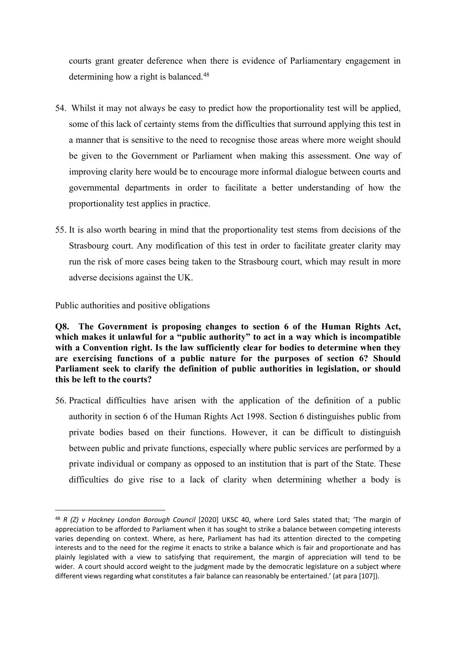courts grant greater deference when there is evidence of Parliamentary engagement in determining how a right is balanced.<sup>48</sup>

- 54. Whilst it may not always be easy to predict how the proportionality test will be applied, some of this lack of certainty stems from the difficulties that surround applying this test in a manner that is sensitive to the need to recognise those areas where more weight should be given to the Government or Parliament when making this assessment. One way of improving clarity here would be to encourage more informal dialogue between courts and governmental departments in order to facilitate a better understanding of how the proportionality test applies in practice.
- 55. It is also worth bearing in mind that the proportionality test stems from decisions of the Strasbourg court. Any modification of this test in order to facilitate greater clarity may run the risk of more cases being taken to the Strasbourg court, which may result in more adverse decisions against the UK.

Public authorities and positive obligations

**Q8. The Government is proposing changes to section 6 of the Human Rights Act, which makes it unlawful for a "public authority" to act in a way which is incompatible with a Convention right. Is the law sufficiently clear for bodies to determine when they are exercising functions of a public nature for the purposes of section 6? Should Parliament seek to clarify the definition of public authorities in legislation, or should this be left to the courts?**

56. Practical difficulties have arisen with the application of the definition of a public authority in section 6 of the Human Rights Act 1998. Section 6 distinguishes public from private bodies based on their functions. However, it can be difficult to distinguish between public and private functions, especially where public services are performed by a private individual or company as opposed to an institution that is part of the State. These difficulties do give rise to a lack of clarity when determining whether a body is

<sup>48</sup> *R (Z) v Hackney London Borough Council* [2020] UKSC 40, where Lord Sales stated that; 'The margin of appreciation to be afforded to Parliament when it has sought to strike a balance between competing interests varies depending on context. Where, as here, Parliament has had its attention directed to the competing interests and to the need for the regime it enacts to strike a balance which is fair and proportionate and has plainly legislated with a view to satisfying that requirement, the margin of appreciation will tend to be wider. A court should accord weight to the judgment made by the democratic legislature on a subject where different views regarding what constitutes a fair balance can reasonably be entertained.' (at para [107]).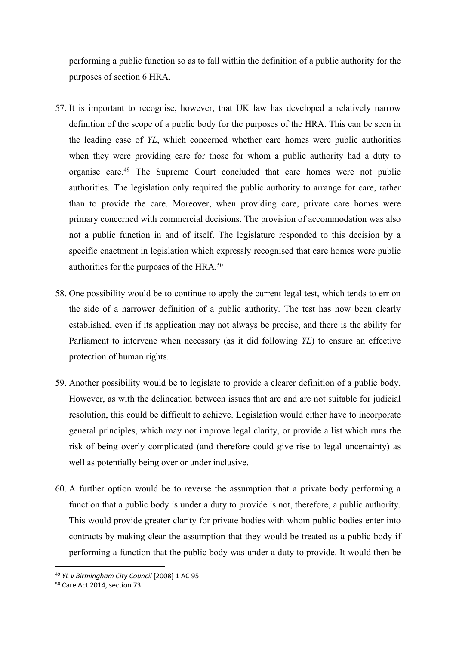performing a public function so as to fall within the definition of a public authority for the purposes of section 6 HRA.

- 57. It is important to recognise, however, that UK law has developed a relatively narrow definition of the scope of a public body for the purposes of the HRA. This can be seen in the leading case of *YL*, which concerned whether care homes were public authorities when they were providing care for those for whom a public authority had a duty to organise care.<sup>49</sup> The Supreme Court concluded that care homes were not public authorities. The legislation only required the public authority to arrange for care, rather than to provide the care. Moreover, when providing care, private care homes were primary concerned with commercial decisions. The provision of accommodation was also not a public function in and of itself. The legislature responded to this decision by a specific enactment in legislation which expressly recognised that care homes were public authorities for the purposes of the HRA.<sup>50</sup>
- 58. One possibility would be to continue to apply the current legal test, which tends to err on the side of a narrower definition of a public authority. The test has now been clearly established, even if its application may not always be precise, and there is the ability for Parliament to intervene when necessary (as it did following *YL*) to ensure an effective protection of human rights.
- 59. Another possibility would be to legislate to provide a clearer definition of a public body. However, as with the delineation between issues that are and are not suitable for judicial resolution, this could be difficult to achieve. Legislation would either have to incorporate general principles, which may not improve legal clarity, or provide a list which runs the risk of being overly complicated (and therefore could give rise to legal uncertainty) as well as potentially being over or under inclusive.
- 60. A further option would be to reverse the assumption that a private body performing a function that a public body is under a duty to provide is not, therefore, a public authority. This would provide greater clarity for private bodies with whom public bodies enter into contracts by making clear the assumption that they would be treated as a public body if performing a function that the public body was under a duty to provide. It would then be

<sup>49</sup> *YL v Birmingham City Council* [2008] 1 AC 95.

<sup>50</sup> Care Act 2014, section 73.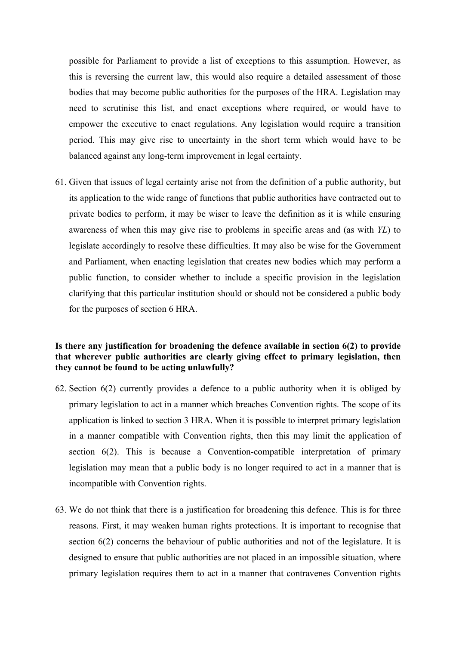possible for Parliament to provide a list of exceptions to this assumption. However, as this is reversing the current law, this would also require a detailed assessment of those bodies that may become public authorities for the purposes of the HRA. Legislation may need to scrutinise this list, and enact exceptions where required, or would have to empower the executive to enact regulations. Any legislation would require a transition period. This may give rise to uncertainty in the short term which would have to be balanced against any long-term improvement in legal certainty.

61. Given that issues of legal certainty arise not from the definition of a public authority, but its application to the wide range of functions that public authorities have contracted out to private bodies to perform, it may be wiser to leave the definition as it is while ensuring awareness of when this may give rise to problems in specific areas and (as with *YL*) to legislate accordingly to resolve these difficulties. It may also be wise for the Government and Parliament, when enacting legislation that creates new bodies which may perform a public function, to consider whether to include a specific provision in the legislation clarifying that this particular institution should or should not be considered a public body for the purposes of section 6 HRA.

# **Is there any justification for broadening the defence available in section 6(2) to provide that wherever public authorities are clearly giving effect to primary legislation, then they cannot be found to be acting unlawfully?**

- 62. Section 6(2) currently provides a defence to a public authority when it is obliged by primary legislation to act in a manner which breaches Convention rights. The scope of its application is linked to section 3 HRA. When it is possible to interpret primary legislation in a manner compatible with Convention rights, then this may limit the application of section 6(2). This is because a Convention-compatible interpretation of primary legislation may mean that a public body is no longer required to act in a manner that is incompatible with Convention rights.
- 63. We do not think that there is a justification for broadening this defence. This is for three reasons. First, it may weaken human rights protections. It is important to recognise that section 6(2) concerns the behaviour of public authorities and not of the legislature. It is designed to ensure that public authorities are not placed in an impossible situation, where primary legislation requires them to act in a manner that contravenes Convention rights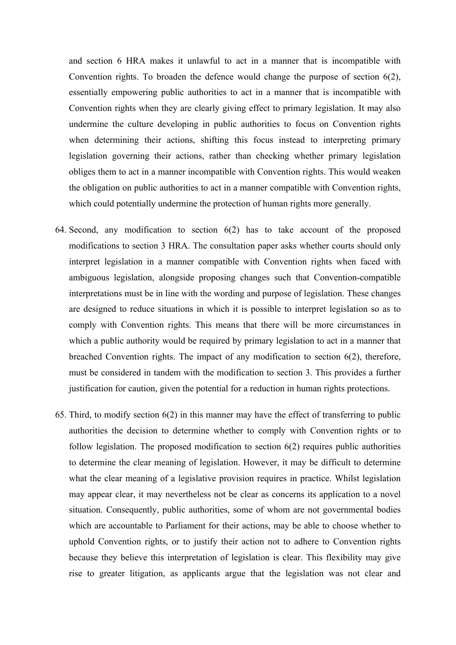and section 6 HRA makes it unlawful to act in a manner that is incompatible with Convention rights. To broaden the defence would change the purpose of section 6(2), essentially empowering public authorities to act in a manner that is incompatible with Convention rights when they are clearly giving effect to primary legislation. It may also undermine the culture developing in public authorities to focus on Convention rights when determining their actions, shifting this focus instead to interpreting primary legislation governing their actions, rather than checking whether primary legislation obliges them to act in a manner incompatible with Convention rights. This would weaken the obligation on public authorities to act in a manner compatible with Convention rights, which could potentially undermine the protection of human rights more generally.

- 64. Second, any modification to section 6(2) has to take account of the proposed modifications to section 3 HRA. The consultation paper asks whether courts should only interpret legislation in a manner compatible with Convention rights when faced with ambiguous legislation, alongside proposing changes such that Convention-compatible interpretations must be in line with the wording and purpose of legislation. These changes are designed to reduce situations in which it is possible to interpret legislation so as to comply with Convention rights. This means that there will be more circumstances in which a public authority would be required by primary legislation to act in a manner that breached Convention rights. The impact of any modification to section 6(2), therefore, must be considered in tandem with the modification to section 3. This provides a further justification for caution, given the potential for a reduction in human rights protections.
- 65. Third, to modify section 6(2) in this manner may have the effect of transferring to public authorities the decision to determine whether to comply with Convention rights or to follow legislation. The proposed modification to section 6(2) requires public authorities to determine the clear meaning of legislation. However, it may be difficult to determine what the clear meaning of a legislative provision requires in practice. Whilst legislation may appear clear, it may nevertheless not be clear as concerns its application to a novel situation. Consequently, public authorities, some of whom are not governmental bodies which are accountable to Parliament for their actions, may be able to choose whether to uphold Convention rights, or to justify their action not to adhere to Convention rights because they believe this interpretation of legislation is clear. This flexibility may give rise to greater litigation, as applicants argue that the legislation was not clear and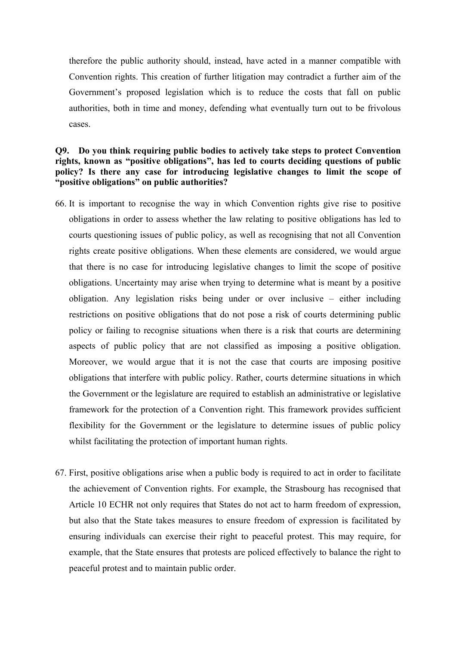therefore the public authority should, instead, have acted in a manner compatible with Convention rights. This creation of further litigation may contradict a further aim of the Government's proposed legislation which is to reduce the costs that fall on public authorities, both in time and money, defending what eventually turn out to be frivolous cases.

# **Q9. Do you think requiring public bodies to actively take steps to protect Convention rights, known as "positive obligations", has led to courts deciding questions of public policy? Is there any case for introducing legislative changes to limit the scope of "positive obligations" on public authorities?**

- 66. It is important to recognise the way in which Convention rights give rise to positive obligations in order to assess whether the law relating to positive obligations has led to courts questioning issues of public policy, as well as recognising that not all Convention rights create positive obligations. When these elements are considered, we would argue that there is no case for introducing legislative changes to limit the scope of positive obligations. Uncertainty may arise when trying to determine what is meant by a positive obligation. Any legislation risks being under or over inclusive – either including restrictions on positive obligations that do not pose a risk of courts determining public policy or failing to recognise situations when there is a risk that courts are determining aspects of public policy that are not classified as imposing a positive obligation. Moreover, we would argue that it is not the case that courts are imposing positive obligations that interfere with public policy. Rather, courts determine situations in which the Government or the legislature are required to establish an administrative or legislative framework for the protection of a Convention right. This framework provides sufficient flexibility for the Government or the legislature to determine issues of public policy whilst facilitating the protection of important human rights.
- 67. First, positive obligations arise when a public body is required to act in order to facilitate the achievement of Convention rights. For example, the Strasbourg has recognised that Article 10 ECHR not only requires that States do not act to harm freedom of expression, but also that the State takes measures to ensure freedom of expression is facilitated by ensuring individuals can exercise their right to peaceful protest. This may require, for example, that the State ensures that protests are policed effectively to balance the right to peaceful protest and to maintain public order.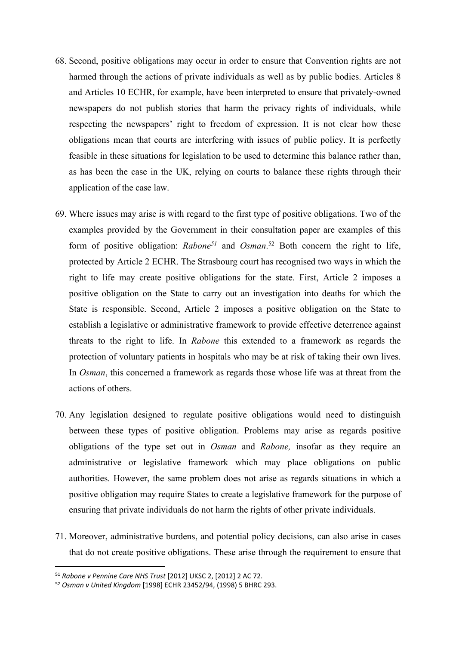- 68. Second, positive obligations may occur in order to ensure that Convention rights are not harmed through the actions of private individuals as well as by public bodies. Articles 8 and Articles 10 ECHR, for example, have been interpreted to ensure that privately-owned newspapers do not publish stories that harm the privacy rights of individuals, while respecting the newspapers' right to freedom of expression. It is not clear how these obligations mean that courts are interfering with issues of public policy. It is perfectly feasible in these situations for legislation to be used to determine this balance rather than, as has been the case in the UK, relying on courts to balance these rights through their application of the case law.
- 69. Where issues may arise is with regard to the first type of positive obligations. Two of the examples provided by the Government in their consultation paper are examples of this form of positive obligation: *Rabone<sup>51</sup>* and *Osman*. <sup>52</sup> Both concern the right to life, protected by Article 2 ECHR. The Strasbourg court has recognised two ways in which the right to life may create positive obligations for the state. First, Article 2 imposes a positive obligation on the State to carry out an investigation into deaths for which the State is responsible. Second, Article 2 imposes a positive obligation on the State to establish a legislative or administrative framework to provide effective deterrence against threats to the right to life. In *Rabone* this extended to a framework as regards the protection of voluntary patients in hospitals who may be at risk of taking their own lives. In *Osman*, this concerned a framework as regards those whose life was at threat from the actions of others.
- 70. Any legislation designed to regulate positive obligations would need to distinguish between these types of positive obligation. Problems may arise as regards positive obligations of the type set out in *Osman* and *Rabone,* insofar as they require an administrative or legislative framework which may place obligations on public authorities. However, the same problem does not arise as regards situations in which a positive obligation may require States to create a legislative framework for the purpose of ensuring that private individuals do not harm the rights of other private individuals.
- 71. Moreover, administrative burdens, and potential policy decisions, can also arise in cases that do not create positive obligations. These arise through the requirement to ensure that

<sup>51</sup> *Rabone v Pennine Care NHS Trust* [2012] UKSC 2, [2012] 2 AC 72.

<sup>52</sup> *Osman v United Kingdom* [1998] ECHR 23452/94, (1998) 5 BHRC 293.